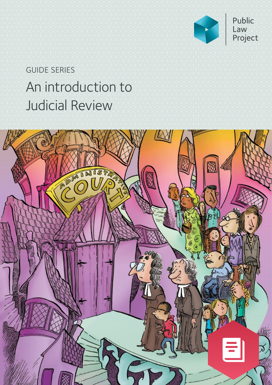

# An introduction to Judicial Review GUIDE SERIES

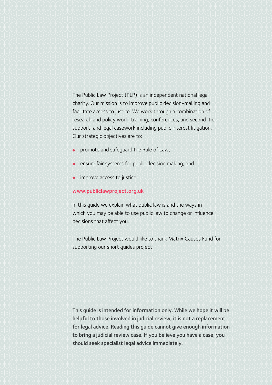The Public Law Project (PLP) is an independent national legal charity. Our mission is to improve public decision-making and facilitate access to justice. We work through a combination of research and policy work; training, conferences, and second-tier support; and legal casework including public interest litigation. Our strategic objectives are to:

- promote and safeguard the Rule of Law;
- **ensure fair systems for public decision making; and**
- **•** improve access to justice.

#### [www.publiclawproject.org.uk](http://www.publiclawproject.org.uk)

In this guide we explain what public law is and the ways in which you may be able to use public law to change or influence decisions that affect you.

The Public Law Project would like to thank Matrix Causes Fund for supporting our short guides project.

This guide is intended for information only. While we hope it will be helpful to those involved in judicial review, it is not a replacement for legal advice. Reading this guide cannot give enough information to bring a judicial review case. If you believe you have a case, you should seek specialist legal advice immediately.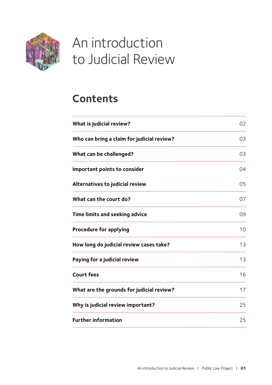<span id="page-2-0"></span>

# An introduction to Judicial Review

# **Content[s](#page-3-0)**

| What is judicial review?                   | 02 |
|--------------------------------------------|----|
| Who can bring a claim for judicial review? | 03 |
| What can be challenged?                    | 03 |
| Important points to consider               | 04 |
| <b>Alternatives to judicial review</b>     | 05 |
| What can the court do?                     | 07 |
| Time limits and seeking advice             | 09 |
| <b>Procedure for applying</b>              | 10 |
| How long do judicial review cases take?    | 13 |
| Paying for a judicial review               | 13 |
| <b>Court fees</b>                          | 16 |
| What are the grounds for judicial review?  | 17 |
| Why is judicial review important?          | 25 |
| <b>Further information</b>                 | 25 |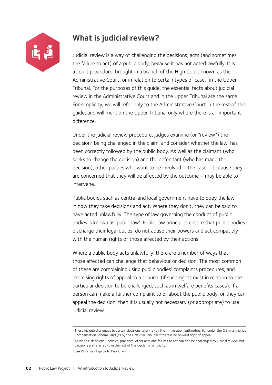<span id="page-3-1"></span>

# <span id="page-3-0"></span>**What is judicial review?**

Judicial review is a way of challenging the decisions, acts (and sometimes the failure to act) of a public body, because it has not acted lawfully. It is a court procedure, brought in a branch of the High Court known as the Administrative Court, or in relation to certain types of case, $1$  in the Upper Tribunal. For the purposes of this guide, the essential facts about judicial review in the Administrative Court and in the Upper Tribunal are the same. For simplicity, we will refer only to the Administrative Court in the rest of this guide, and will mention the Upper Tribunal only where there is an important difference.

Under the judicial review procedure, judges examine (or "review") the decision<sup>2</sup> being challenged in the claim, and consider whether the law has been correctly followed by the public body. As well as the claimant (who seeks to change the decision) and the defendant (who has made the decision), other parties who want to be involved in the case – because they are concerned that they will be affected by the outcome – may be able to intervene.

Public bodies such as central and local government have to obey the law in how they take decisions and act. Where they don't, they can be said to have acted unlawfully. The type of law governing the conduct of public bodies is known as 'public law'. Public law principles ensure that public bodies discharge their legal duties, do not abuse their powers and act compatibly with the human rights of those affected by their actions.<sup>3</sup>

Where a public body acts unlawfully, there are a number of ways that those affected can challenge that behaviour or decision. The most common of these are complaining using public bodies' complaints procedures, and exercising rights of appeal to a tribunal (if such rights exist in relation to the particular decision to be challenged, such as in welfare benefits cases). If a person can make a further complaint to or about the public body, or they can appeal the decision, then it is usually not necessary (or appropriate) to use judicial review.

<sup>1</sup> These include challenges to certain decisions taken (a) by the immigration authorities, (b) under the Criminal Injuries Compensation Scheme, and (c) by the First-tier Tribunal if there is no onward right of appeal.

<sup>&</sup>lt;sup>2</sup> As well as "decisions", policies, practices, other acts and failures to act can also be challenged by judicial review, but decisions are referred to in the rest of this guide for simplicity.

<sup>&</sup>lt;sup>3</sup> See PLP's short quide to Public law.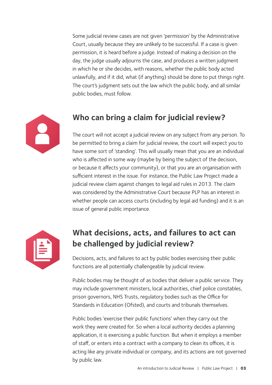<span id="page-4-0"></span>Some judicial review cases are not given 'permission' by the Administrative Court, usually because they are unlikely to be successful. If a case is given permission, it is heard before a judge. Instead of making a decision on the day, the judge usually adjourns the case, and produces a written judgment in which he or she decides, with reasons, whether the public body acted unlawfully, and if it did, what (if anything) should be done to put things right. The court's judgment sets out the law which the public body, and all similar public bodies, must follow.



## **Who can bring a claim for judicial review?**

The court will not accept a judicial review on any subject from any person. To be permitted to bring a claim for judicial review, the court will expect you to have some sort of 'standing'. This will usually mean that you are an individual who is affected in some way (maybe by being the subject of the decision, or because it affects your community), or that you are an organisation with sufficient interest in the issue. For instance, the Public Law Project made a judicial review claim against changes to legal aid rules in 2013. The claim was considered by the Administrative Court because PLP has an interest in whether people can access courts (including by legal aid funding) and it is an issue of general public importance.



# **What decisions, acts, and failures to act can be challenged by judicial review?**

Decisions, acts, and failures to act by public bodies exercising their public functions are all potentially challengeable by judicial review.

Public bodies may be thought of as bodies that deliver a public service. They may include government ministers, local authorities, chief police constables, prison governors, NHS Trusts, regulatory bodies such as the Office for Standards in Education (Ofsted), and courts and tribunals themselves.

Public bodies 'exercise their public functions' when they carry out the work they were created for. So when a local authority decides a planning application, it is exercising a public function. But when it employs a member of staff, or enters into a contract with a company to clean its offices, it is acting like any private individual or company, and its actions are not governed by public law.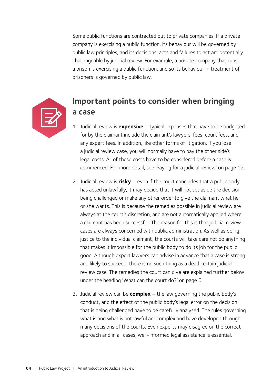Some public functions are contracted out to private companies. If a private company is exercising a public function, its behaviour will be governed by public law principles, and its decisions, acts and failures to act are potentially challengeable by judicial review. For example, a private company that runs a prison is exercising a public function, and so its behaviour in treatment of prisoners is governed by public law.



# **Important points to consider when bringing a case**

- 1. Judicial review is **expensive** typical expenses that have to be budgeted for by the claimant include the claimant's lawyers' fees, court fees, and any expert fees. In addition, like other forms of litigation, if you lose a judicial review case, you will normally have to pay the other side's legal costs. All of these costs have to be considered before a case is commenced. For more detail, see 'Paying for a judicial review' on page 12.
- 2. Judicial review is **risky** even if the court concludes that a public body has acted unlawfully, it may decide that it will not set aside the decision being challenged or make any other order to give the claimant what he or she wants. This is because the remedies possible in judicial review are always at the court's discretion, and are not automatically applied where a claimant has been successful. The reason for this is that judicial review cases are always concerned with public administration. As well as doing justice to the individual claimant, the courts will take care not do anything that makes it impossible for the public body to do its job for the public good. Although expert lawyers can advise in advance that a case is strong and likely to succeed, there is no such thing as a dead certain judicial review case. The remedies the court can give are explained further below under the heading 'What can the court do?' on page 6.
- 3. Judicial review can be **complex** the law governing the public body's conduct, and the effect of the public body's legal error on the decision that is being challenged have to be carefully analysed. The rules governing what is and what is not lawful are complex and have developed through many decisions of the courts. Even experts may disagree on the correct approach and in all cases, well-informed legal assistance is essential.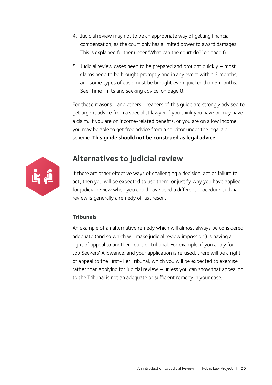- 4. Judicial review may not to be an appropriate way of getting financial compensation, as the court only has a limited power to award damages. This is explained further under 'What can the court do?' on page 6.
- 5. Judicial review cases need to be prepared and brought quickly most claims need to be brought promptly and in any event within 3 months, and some types of case must be brought even quicker than 3 months. See 'Time limits and seeking advice' on page 8.

For these reasons - and others - readers of this guide are strongly advised to get urgent advice from a specialist lawyer if you think you have or may have a claim. If you are on income-related benefits, or you are on a low income, you may be able to get free advice from a solicitor under the legal aid scheme. **This guide should not be construed as legal advice.**



# <span id="page-6-0"></span>**Alternatives to judicial review**

If there are other effective ways of challenging a decision, act or failure to act, then you will be expected to use them, or justify why you have applied for judicial review when you could have used a different procedure. Judicial review is generally a remedy of last resort.

#### **Tribunals**

An example of an alternative remedy which will almost always be considered adequate (and so which will make judicial review impossible) is having a right of appeal to another court or tribunal. For example, if you apply for Job Seekers' Allowance, and your application is refused, there will be a right of appeal to the First-Tier Tribunal, which you will be expected to exercise rather than applying for judicial review – unless you can show that appealing to the Tribunal is not an adequate or sufficient remedy in your case.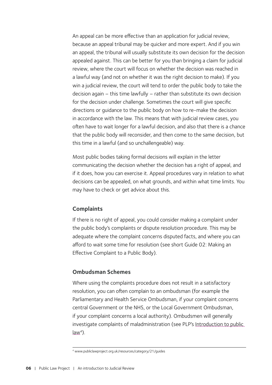An appeal can be more effective than an application for judicial review, because an appeal tribunal may be quicker and more expert. And if you win an appeal, the tribunal will usually substitute its own decision for the decision appealed against. This can be better for you than bringing a claim for judicial review, where the court will focus on whether the decision was reached in a lawful way (and not on whether it was the right decision to make). If you win a judicial review, the court will tend to order the public body to take the decision again – this time lawfully – rather than substitute its own decision for the decision under challenge. Sometimes the court will give specific directions or guidance to the public body on how to re-make the decision in accordance with the law. This means that with judicial review cases, you often have to wait longer for a lawful decision, and also that there is a chance that the public body will reconsider, and then come to the same decision, but this time in a lawful (and so unchallengeable) way.

Most public bodies taking formal decisions will explain in the letter communicating the decision whether the decision has a right of appeal, and if it does, how you can exercise it. Appeal procedures vary in relation to what decisions can be appealed, on what grounds, and within what time limits. You may have to check or get advice about this.

#### **Complaints**

If there is no right of appeal, you could consider making a complaint under the public body's complaints or dispute resolution procedure. This may be adequate where the complaint concerns disputed facts, and where you can afford to wait some time for resolution (see short Guide 02: Making an Effective Complaint to a Public Body).

#### **Ombudsman Schemes**

Where using the complaints procedure does not result in a satisfactory resolution, you can often complain to an ombudsman (for example the Parliamentary and Health Service Ombudsman, if your complaint concerns central Government or the NHS, or the Local Government Ombudsman, if your complaint concerns a local authority). Ombudsmen will generally investigate complaints of maladministration (see PLP's Introduction to public  $law<sup>4</sup>$ ).

<sup>4</sup> www.publiclawproject.org.uk/resources/category/21/guides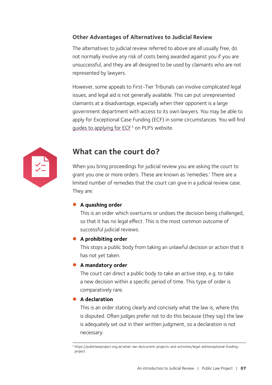#### **Other Advantages of Alternatives to Judicial Review**

The alternatives to judicial review referred to above are all usually free, do not normally involve any risk of costs being awarded against you if you are unsuccessful, and they are all designed to be used by claimants who are not represented by lawyers.

However, some appeals to First-Tier Tribunals can involve complicated legal issues, and legal aid is not generally available. This can put unrepresented claimants at a disadvantage, especially when their opponent is a large government department with access to its own lawyers. You may be able to apply for Exceptional Case Funding (ECF) in some circumstances. You will find guides to applying for ECF<sup>5</sup> on PLP's website[.](http://www.publiclawproject.org.uk/resources/category/21/guides)



## <span id="page-8-0"></span>**What can the court do?**

When you bring proceedings for judicial review you are asking the court to grant you one or more orders. These are known as 'remedies.' There are a limited number of remedies that the court can give in a judicial review case. They are:

#### **A** quashing order

This is an order which overturns or undoes the decision being challenged, so that it has no legal effect. This is the most common outcome of successful judicial reviews.

#### **A** prohibiting order

This stops a public body from taking an unlawful decision or action that it has not yet taken.

#### **A** mandatory order

The court can direct a public body to take an active step, e.g. to take a new decision within a specific period of time. This type of order is comparatively rare.

#### **A** declaration

This is an order stating clearly and concisely what the law is, where this is disputed. Often judges prefer not to do this because (they say) the law is adequately set out in their written judgment, so a declaration is not necessary.

<sup>5</sup> https://publiclawproject.org.uk/what-we-do/current-projects-and-activities/legal-aid/exceptional-fundingproject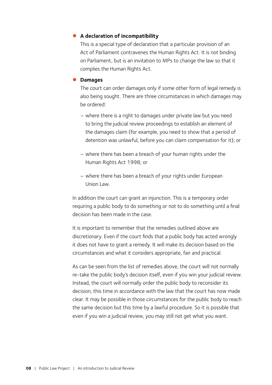#### z **A declaration of incompatibility**

This is a special type of declaration that a particular provision of an Act of Parliament contravenes the Human Rights Act. It is not binding on Parliament, but is an invitation to MPs to change the law so that it complies the Human Rights Act.

#### $\bullet$  Damages

The court can order damages only if some other form of legal remedy is also being sought. There are three circumstances in which damages may be ordered:

- where there is a right to damages under private law but you need to bring the judicial review proceedings to establish an element of the damages claim (for example, you need to show that a period of detention was unlawful, before you can claim compensation for it); or
- where there has been a breach of your human rights under the Human Rights Act 1998; or
- where there has been a breach of your rights under European Union Law.

In addition the court can grant an injunction. This is a temporary order requiring a public body to do something or not to do something until a final decision has been made in the case.

It is important to remember that the remedies outlined above are discretionary. Even if the court finds that a public body has acted wrongly it does not have to grant a remedy. It will make its decision based on the circumstances and what it considers appropriate, fair and practical.

As can be seen from the list of remedies above, the court will not normally re-take the public body's decision itself, even if you win your judicial review. Instead, the court will normally order the public body to reconsider its decision, this time in accordance with the law that the court has now made clear. It may be possible in those circumstances for the public body to reach the same decision but this time by a lawful procedure. So it is possible that even if you win a judicial review, you may still not get what you want.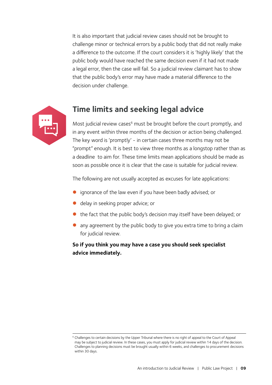It is also important that judicial review cases should not be brought to challenge minor or technical errors by a public body that did not really make a difference to the outcome. If the court considers it is 'highly likely' that the public body would have reached the same decision even if it had not made a legal error, then the case will fail. So a judicial review claimant has to show that the public body's error may have made a material difference to the decision under challenge.



## <span id="page-10-0"></span>**Time limits and seeking legal advice**

Most judicial review cases<sup>6</sup> must be brought before the court promptly, and in any event within three months of the decision or action being challenged. The key word is 'promptly' - in certain cases three months may not be "prompt" enough. It is best to view three months as a longstop rather than as a deadline to aim for. These time limits mean applications should be made as soon as possible once it is clear that the case is suitable for judicial review.

The following are not usually accepted as excuses for late applications:

- ignorance of the law even if you have been badly advised; or
- delay in seeking proper advice; or
- the fact that the public body's decision may itself have been delayed; or
- any agreement by the public body to give you extra time to bring a claim for judicial review.

#### **So if you think you may have a case you should seek specialist advice immediately.**

<sup>&</sup>lt;sup>6</sup> Challenges to certain decisions by the Upper Tribunal where there is no right of appeal to the Court of Appeal may be subject to judicial review. In these cases, you must apply for judicial review within 14 days of the decision. Challenges to planning decisions must be brought usually within 6 weeks, and challenges to procurement decisions within 30 days.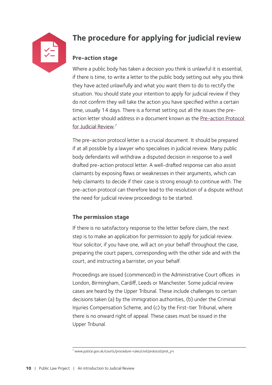

# <span id="page-11-0"></span>**The procedure for applying for judicial review**

#### **Pre-action stage**

Where a public body has taken a decision you think is unlawful it is essential, if there is time, to write a letter to the public body setting out why you think they have acted unlawfully and what you want them to do to rectify the situation. You should state your intention to apply for judicial review if they do not confirm they will take the action you have specified within a certain time, usually 14 days. There is a format setting out all the issues the preaction letter should address in a document known as the [Pre-action Protocol](http://www.justice.gov.uk/courts/procedure-rules/civil/protocol/prot_jrv.)  [for Judicial Review.](http://www.justice.gov.uk/courts/procedure-rules/civil/protocol/prot_jrv.) 7

The pre-action protocol letter is a crucial document. It should be prepared if at all possible by a lawyer who specialises in judicial review. Many public body defendants will withdraw a disputed decision in response to a well drafted pre-action protocol letter. A well-drafted response can also assist claimants by exposing flaws or weaknesses in their arguments, which can help claimants to decide if their case is strong enough to continue with. The pre-action protocol can therefore lead to the resolution of a dispute without the need for judicial review proceedings to be started.

#### **The permission stage**

If there is no satisfactory response to the letter before claim, the next step is to make an application for permission to apply for judicial review. Your solicitor, if you have one, will act on your behalf throughout the case, preparing the court papers, corresponding with the other side and with the court, and instructing a barrister, on your behalf.

Proceedings are issued (commenced) in the Administrative Court offices in London, Birmingham, Cardiff, Leeds or Manchester. Some judicial review cases are heard by the Upper Tribunal. These include challenges to certain decisions taken (a) by the immigration authorities, (b) under the Criminal Injuries Compensation Scheme, and (c) by the First-tier Tribunal, where there is no onward right of appeal. These cases must be issued in the Upper Tribunal.

<sup>7</sup> www.justice.gov.uk/courts/procedure-rules/civil/protocol/prot\_jrv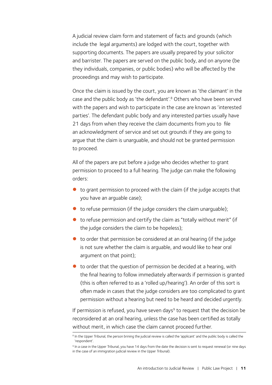A judicial review claim form and statement of facts and grounds (which include the legal arguments) are lodged with the court, together with supporting documents. The papers are usually prepared by your solicitor and barrister. The papers are served on the public body, and on anyone (be they individuals, companies, or public bodies) who will be affected by the proceedings and may wish to participate.

Once the claim is issued by the court, you are known as 'the claimant' in the case and the public body as 'the defendant'.<sup>8</sup> Others who have been served with the papers and wish to participate in the case are known as 'interested parties'. The defendant public body and any interested parties usually have 21 days from when they receive the claim documents from you to file an acknowledgment of service and set out grounds if they are going to argue that the claim is unarguable, and should not be granted permission to proceed.

All of the papers are put before a judge who decides whether to grant permission to proceed to a full hearing. The judge can make the following orders:

- $\bullet$  to grant permission to proceed with the claim (if the judge accepts that you have an arguable case);
- $\bullet$  to refuse permission (if the judge considers the claim unarguable);
- $\bullet$  to refuse permission and certify the claim as "totally without merit" (if the judge considers the claim to be hopeless);
- $\bullet$  to order that permission be considered at an oral hearing (if the judge is not sure whether the claim is arguable, and would like to hear oral argument on that point);
- $\bullet$  to order that the question of permission be decided at a hearing, with the final hearing to follow immediately afterwards if permission is granted (this is often referred to as a 'rolled up/hearing'). An order of this sort is often made in cases that the judge considers are too complicated to grant permission without a hearing but need to be heard and decided urgently.

If permission is refused, you have seven days $9$  to request that the decision be reconsidered at an oral hearing, unless the case has been certified as totally without merit, in which case the claim cannot proceed further.

<sup>&</sup>lt;sup>8</sup> In the Upper Tribunal, the person brining the judicial review is called the 'applicant' and the public body is called the 'respondent'.

<sup>&</sup>lt;sup>9</sup> In a case in the Upper Tribunal, you have 14 days from the date the decision is sent to request renewal (or nine days in the case of an immigration judicial review in the Upper Tribunal).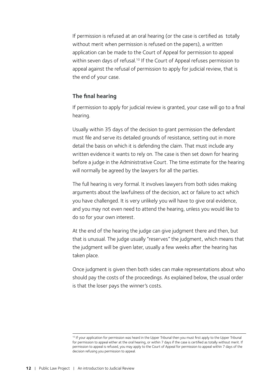If permission is refused at an oral hearing (or the case is certified as totally without merit when permission is refused on the papers), a written application can be made to the Court of Appeal for permission to appeal within seven days of refusal.<sup>10</sup> If the Court of Appeal refuses permission to appeal against the refusal of permission to apply for judicial review, that is the end of your case.

#### **The final hearing**

If permission to apply for judicial review is granted, your case will go to a final hearing.

Usually within 35 days of the decision to grant permission the defendant must file and serve its detailed grounds of resistance, setting out in more detail the basis on which it is defending the claim. That must include any written evidence it wants to rely on. The case is then set down for hearing before a judge in the Administrative Court. The time estimate for the hearing will normally be agreed by the lawyers for all the parties.

The full hearing is very formal. It involves lawyers from both sides making arguments about the lawfulness of the decision, act or failure to act which you have challenged. It is very unlikely you will have to give oral evidence, and you may not even need to attend the hearing, unless you would like to do so for your own interest.

At the end of the hearing the judge can give judgment there and then, but that is unusual. The judge usually "reserves" the judgment, which means that the judgment will be given later, usually a few weeks after the hearing has taken place.

Once judgment is given then both sides can make representations about who should pay the costs of the proceedings. As explained below, the usual order is that the loser pays the winner's costs.

<sup>&</sup>lt;sup>10</sup> If your application for permission was heard in the Upper Tribunal then you must first apply to the Upper Tribunal for permission to appeal either at the oral hearing, or within 7 days if the case is certified as totally without merit. If permission to appeal is refused, you may apply to the Court of Appeal for permission to appeal within 7 days of the decision refusing you permission to appeal.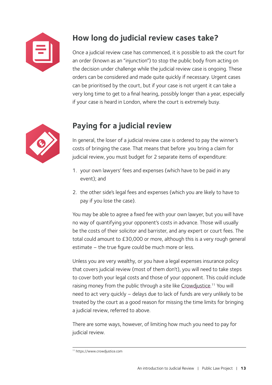

# <span id="page-14-0"></span>**How long do judicial review cases take?**

Once a judicial review case has commenced, it is possible to ask the court for an order (known as an "injunction") to stop the public body from acting on the decision under challenge while the judicial review case is ongoing. These orders can be considered and made quite quickly if necessary. Urgent cases can be prioritised by the court, but if your case is not urgent it can take a very long time to get to a final hearing, possibly longer than a year, especially if your case is heard in London, where the court is extremely busy.



# <span id="page-14-1"></span>**Paying for a judicial review**

In general, the loser of a judicial review case is ordered to pay the winner's costs of bringing the case. That means that before you bring a claim for judicial review, you must budget for 2 separate items of expenditure:

- 1. your own lawyers' fees and expenses (which have to be paid in any event); and
- 2. the other side's legal fees and expenses (which you are likely to have to pay if you lose the case).

You may be able to agree a fixed fee with your own lawyer, but you will have no way of quantifying your opponent's costs in advance. Those will usually be the costs of their solicitor and barrister, and any expert or court fees. The total could amount to £30,000 or more, although this is a very rough general estimate – the true figure could be much more or less.

Unless you are very wealthy, or you have a legal expenses insurance policy that covers judicial review (most of them don't), you will need to take steps to cover both your legal costs and those of your opponent. This could include raising money from the public through a site like Crowdjustice.<sup>11</sup> You will need to act very quickly – delays due to lack of funds are very unlikely to be treated by the court as a good reason for missing the time limits for bringing a judicial review, referred to above.

There are some ways, however, of limiting how much you need to pay for judicial review.

<sup>11</sup> https://www.crowdjustice.com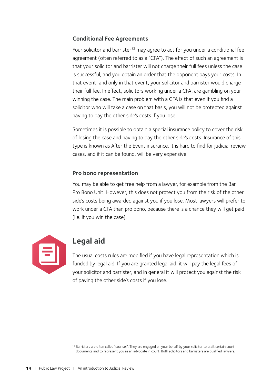#### **Conditional Fee Agreements**

Your solicitor and barrister<sup>12</sup> may agree to act for you under a conditional fee agreement (often referred to as a "CFA"). The effect of such an agreement is that your solicitor and barrister will not charge their full fees unless the case is successful, and you obtain an order that the opponent pays your costs. In that event, and only in that event, your solicitor and barrister would charge their full fee. In effect, solicitors working under a CFA, are gambling on your winning the case. The main problem with a CFA is that even if you find a solicitor who will take a case on that basis, you will not be protected against having to pay the other side's costs if you lose.

Sometimes it is possible to obtain a special insurance policy to cover the risk of losing the case and having to pay the other side's costs. Insurance of this type is known as After the Event insurance. It is hard to find for judicial review cases, and if it can be found, will be very expensive.

#### **Pro bono representation**

You may be able to get free help from a lawyer, for example from the Bar Pro Bono Unit. However, this does not protect you from the risk of the other side's costs being awarded against you if you lose. Most lawyers will prefer to work under a CFA than pro bono, because there is a chance they will get paid [i.e. if you win the case].



### **Legal aid**

The usual costs rules are modified if you have legal representation which is funded by legal aid. If you are granted legal aid, it will pay the legal fees of your solicitor and barrister, and in general it will protect you against the risk of paying the other side's costs if you lose.

<sup>&</sup>lt;sup>12</sup> Barristers are often called "counsel". They are engaged on your behalf by your solicitor to draft certain court documents and to represent you as an advocate in court. Both solicitors and barristers are qualified lawyers.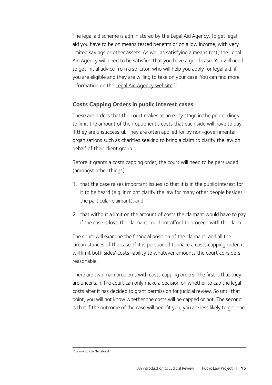The legal aid scheme is administered by the Legal Aid Agency. To get legal aid you have to be on means tested benefits or on a low income, with very limited savings or other assets. As well as satisfying a means test, the Legal Aid Agency will need to be satisfied that you have a good case. You will need to get initial advice from a solicitor, who will help you apply for legal aid, if you are eligible and they are willing to take on your case. You can find more information on the Legal Aid Agency website.<sup>13</sup>

#### **Costs Capping Orders in public interest cases**

These are orders that the court makes at an early stage in the proceedings to limit the amount of their opponent's costs that each side will have to pay if they are unsuccessful. They are often applied for by non-governmental organisations such as charities seeking to bring a claim to clarify the law on behalf of their client group.

Before it grants a costs capping order, the court will need to be persuaded (amongst other things):

- 1. that the case raises important issues so that it is in the public interest for it to be heard (e.g. it might clarify the law for many other people besides the particular claimant), and
- 2. that without a limit on the amount of costs the claimant would have to pay if the case is lost, the claimant could not afford to proceed with the claim.

The court will examine the financial position of the claimant, and all the circumstances of the case. If it is persuaded to make a costs capping order, it will limit both sides' costs liability to whatever amounts the court considers reasonable.

There are two main problems with costs capping orders. The first is that they are uncertain: the court can only make a decision on whether to cap the legal costs after it has decided to grant permission for judicial review. So until that point, you will not know whether the costs will be capped or not. The second is that if the outcome of the case will benefit you, you are less likely to get one.

<sup>13</sup> www.gov.uk/legal-aid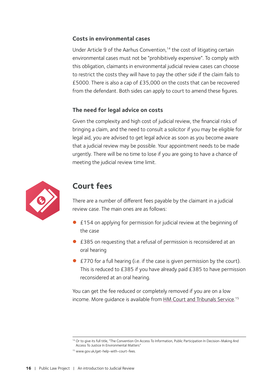#### **Costs in environmental cases**

Under Article 9 of the Aarhus Convention,<sup>14</sup> the cost of litigating certain environmental cases must not be "prohibitively expensive". To comply with this obligation, claimants in environmental judicial review cases can choose to restrict the costs they will have to pay the other side if the claim fails to £5000. There is also a cap of £35,000 on the costs that can be recovered from the defendant. Both sides can apply to court to amend these figures.

#### **The need for legal advice on costs**

Given the complexity and high cost of judicial review, the financial risks of bringing a claim, and the need to consult a solicitor if you may be eligible for legal aid, you are advised to get legal advice as soon as you become aware that a judicial review may be possible. Your appointment needs to be made urgently. There will be no time to lose if you are going to have a chance of meeting the judicial review time limit.



# <span id="page-17-0"></span>**Court fees**

There are a number of different fees payable by the claimant in a judicial review case. The main ones are as follows:

- £154 on applying for permission for judicial review at the beginning of the case
- £385 on requesting that a refusal of permission is reconsidered at an oral hearing
- $\bullet$  £770 for a full hearing (i.e. if the case is given permission by the court). This is reduced to £385 if you have already paid £385 to have permission reconsidered at an oral hearing.

You can get the fee reduced or completely removed if you are on a low income. More guidance is available from **HM Court and Tribunals Service**.<sup>15</sup>

<sup>14</sup> Or to give its full title, "The Convention On Access To Information, Public Participation In Decision-Making And Access To Justice In Environmental Matters"

<sup>15</sup> www.gov.uk/get-help-with-court-fees.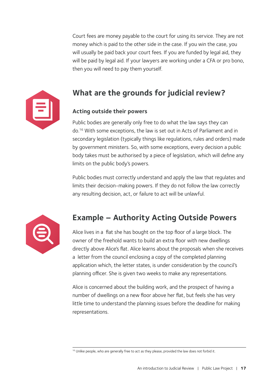Court fees are money payable to the court for using its service. They are not money which is paid to the other side in the case. If you win the case, you will usually be paid back your court fees. If you are funded by legal aid, they will be paid by legal aid. If your lawyers are working under a CFA or pro bono, then you will need to pay them yourself.



## <span id="page-18-0"></span>**What are the grounds for judicial review?**

#### **Acting outside their powers**

Public bodies are generally only free to do what the law says they can do.16 With some exceptions, the law is set out in Acts of Parliament and in secondary legislation (typically things like regulations, rules and orders) made by government ministers. So, with some exceptions, every decision a public body takes must be authorised by a piece of legislation, which will define any limits on the public body's powers.

Public bodies must correctly understand and apply the law that regulates and limits their decision-making powers. If they do not follow the law correctly any resulting decision, act, or failure to act will be unlawful.



# **Example – Authority Acting Outside Powers**

Alice lives in a flat she has bought on the top floor of a large block. The owner of the freehold wants to build an extra floor with new dwellings directly above Alice's flat. Alice learns about the proposals when she receives a letter from the council enclosing a copy of the completed planning application which, the letter states, is under consideration by the council's planning officer. She is given two weeks to make any representations.

Alice is concerned about the building work, and the prospect of having a number of dwellings on a new floor above her flat, but feels she has very little time to understand the planning issues before the deadline for making representations.

<sup>&</sup>lt;sup>16</sup> Unlike people, who are generally free to act as they please, provided the law does not forbid it.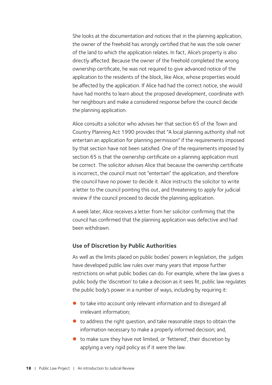She looks at the documentation and notices that in the planning application, the owner of the freehold has wrongly certified that he was the sole owner of the land to which the application relates. In fact, Alice's property is also directly affected. Because the owner of the freehold completed the wrong ownership certificate, he was not required to give advanced notice of the application to the residents of the block, like Alice, whose properties would be affected by the application. If Alice had had the correct notice, she would have had months to learn about the proposed development, coordinate with her neighbours and make a considered response before the council decide the planning application.

Alice consults a solicitor who advises her that section 65 of the Town and Country Planning Act 1990 provides that "A local planning authority shall not entertain an application for planning permission" if the requirements imposed by that section have not been satisfied. One of the requirements imposed by section 65 is that the ownership certificate on a planning application must be correct. The solicitor advises Alice that because the ownership certificate is incorrect, the council must not "entertain" the application, and therefore the council have no power to decide it. Alice instructs the solicitor to write a letter to the council pointing this out, and threatening to apply for judicial review if the council proceed to decide the planning application.

A week later, Alice receives a letter from her solicitor confirming that the council has confirmed that the planning application was defective and had been withdrawn.

#### **Use of Discretion by Public Authorities**

As well as the limits placed on public bodies' powers in legislation, the judges have developed public law rules over many years that impose further restrictions on what public bodies can do. For example, where the law gives a public body the 'discretion' to take a decision as it sees fit, public law regulates the public body's power in a number of ways, including by requiring it:

- $\bullet$  to take into account only relevant information and to disregard all irrelevant information;
- $\bullet$  to address the right question, and take reasonable steps to obtain the information necessary to make a properly informed decision; and,
- $\bullet$  to make sure they have not limited, or 'fettered', their discretion by applying a very rigid policy as if it were the law.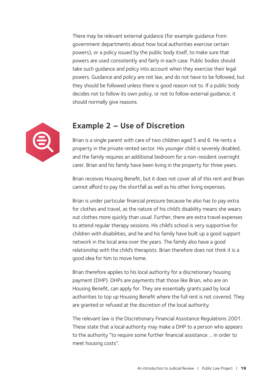There may be relevant external guidance (for example guidance from government departments about how local authorities exercise certain powers), or a policy issued by the public body itself, to make sure that powers are used consistently and fairly in each case. Public bodies should take such guidance and policy into account when they exercise their legal powers. Guidance and policy are not law, and do not have to be followed, but they should be followed unless there is good reason not to. If a public body decides not to follow its own policy, or not to follow external guidance, it should normally give reasons.



### **Example 2 – Use of Discretion**

Brian is a single parent with care of two children aged 5 and 6. He rents a property in the private rented sector. His younger child is severely disabled, and the family requires an additional bedroom for a non-resident overnight carer. Brian and his family have been living in the property for three years.

Brian receives Housing Benefit, but it does not cover all of this rent and Brian cannot afford to pay the shortfall as well as his other living expenses.

Brian is under particular financial pressure because he also has to pay extra for clothes and travel, as the nature of his child's disability means she wears out clothes more quickly than usual. Further, there are extra travel expenses to attend regular therapy sessions. His child's school is very supportive for children with disabilities, and he and his family have built up a good support network in the local area over the years. The family also have a good relationship with the child's therapists. Brian therefore does not think it is a good idea for him to move home.

Brian therefore applies to his local authority for a discretionary housing payment (DHP). DHPs are payments that those like Brian, who are on Housing Benefit, can apply for. They are essentially grants paid by local authorities to top up Housing Benefit where the full rent is not covered. They are granted or refused at the discretion of the local authority.

The relevant law is the Discretionary Financial Assistance Regulations 2001. These state that a local authority may make a DHP to a person who appears to the authority "to require some further financial assistance … in order to meet housing costs".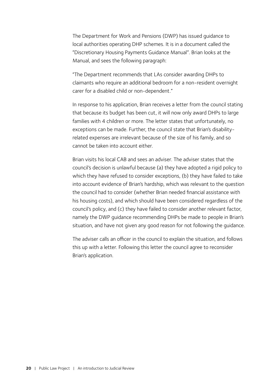The Department for Work and Pensions (DWP) has issued guidance to local authorities operating DHP schemes. It is in a document called the "Discretionary Housing Payments Guidance Manual". Brian looks at the Manual, and sees the following paragraph:

"The Department recommends that LAs consider awarding DHPs to claimants who require an additional bedroom for a non-resident overnight carer for a disabled child or non-dependent."

In response to his application, Brian receives a letter from the council stating that because its budget has been cut, it will now only award DHPs to large families with 4 children or more. The letter states that unfortunately, no exceptions can be made. Further, the council state that Brian's disabilityrelated expenses are irrelevant because of the size of his family, and so cannot be taken into account either.

Brian visits his local CAB and sees an adviser. The adviser states that the council's decision is unlawful because (a) they have adopted a rigid policy to which they have refused to consider exceptions, (b) they have failed to take into account evidence of Brian's hardship, which was relevant to the question the council had to consider (whether Brian needed financial assistance with his housing costs), and which should have been considered regardless of the council's policy, and (c) they have failed to consider another relevant factor, namely the DWP guidance recommending DHPs be made to people in Brian's situation, and have not given any good reason for not following the guidance.

The adviser calls an officer in the council to explain the situation, and follows this up with a letter. Following this letter the council agree to reconsider Brian's application.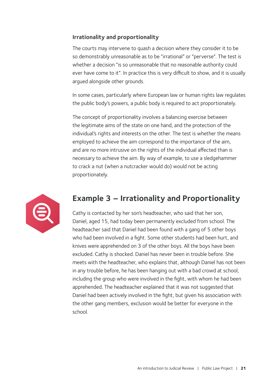#### **Irrationality and proportionality**

The courts may intervene to quash a decision where they consider it to be so demonstrably unreasonable as to be "irrational" or "perverse". The test is whether a decision "is so unreasonable that no reasonable authority could ever have come to it". In practice this is very difficult to show, and it is usually argued alongside other grounds.

In some cases, particularly where European law or human rights law regulates the public body's powers, a public body is required to act proportionately.

The concept of proportionality involves a balancing exercise between the legitimate aims of the state on one hand, and the protection of the individual's rights and interests on the other. The test is whether the means employed to achieve the aim correspond to the importance of the aim, and are no more intrusive on the rights of the individual affected than is necessary to achieve the aim. By way of example, to use a sledgehammer to crack a nut (when a nutcracker would do) would not be acting proportionately.



## **Example 3 – Irrationality and Proportionality**

Cathy is contacted by her son's headteacher, who said that her son, Daniel, aged 15, had today been permanently excluded from school. The headteacher said that Daniel had been found with a gang of 5 other boys who had been involved in a fight. Some other students had been hurt, and knives were apprehended on 3 of the other boys. All the boys have been excluded. Cathy is shocked. Daniel has never been in trouble before. She meets with the headteacher, who explains that, although Daniel has not been in any trouble before, he has been hanging out with a bad crowd at school, including the group who were involved in the fight, with whom he had been apprehended. The headteacher explained that it was not suggested that Daniel had been actively involved in the fight, but given his association with the other gang members, exclusion would be better for everyone in the school.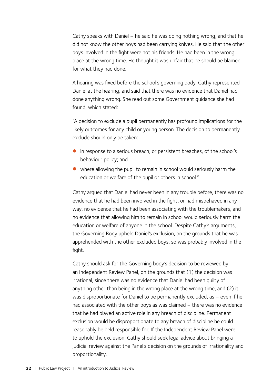Cathy speaks with Daniel – he said he was doing nothing wrong, and that he did not know the other boys had been carrying knives. He said that the other boys involved in the fight were not his friends. He had been in the wrong place at the wrong time. He thought it was unfair that he should be blamed for what they had done.

A hearing was fixed before the school's governing body. Cathy represented Daniel at the hearing, and said that there was no evidence that Daniel had done anything wrong. She read out some Government guidance she had found, which stated:

"A decision to exclude a pupil permanently has profound implications for the likely outcomes for any child or young person. The decision to permanently exclude should only be taken:

- in response to a serious breach, or persistent breaches, of the school's behaviour policy; and
- $\bullet$  where allowing the pupil to remain in school would seriously harm the education or welfare of the pupil or others in school."

Cathy argued that Daniel had never been in any trouble before, there was no evidence that he had been involved in the fight, or had misbehaved in any way, no evidence that he had been associating with the troublemakers, and no evidence that allowing him to remain in school would seriously harm the education or welfare of anyone in the school. Despite Cathy's arguments, the Governing Body upheld Daniel's exclusion, on the grounds that he was apprehended with the other excluded boys, so was probably involved in the fight.

Cathy should ask for the Governing body's decision to be reviewed by an Independent Review Panel, on the grounds that (1) the decision was irrational, since there was no evidence that Daniel had been guilty of anything other than being in the wrong place at the wrong time, and (2) it was disproportionate for Daniel to be permanently excluded, as – even if he had associated with the other boys as was claimed – there was no evidence that he had played an active role in any breach of discipline. Permanent exclusion would be disproportionate to any breach of discipline he could reasonably be held responsible for. If the Independent Review Panel were to uphold the exclusion, Cathy should seek legal advice about bringing a judicial review against the Panel's decision on the grounds of irrationality and proportionality.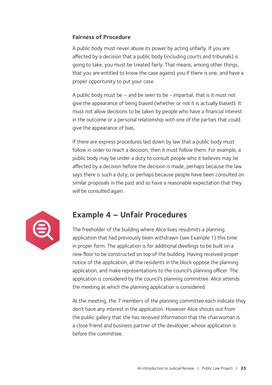#### **Fairness of Procedure**

A public body must never abuse its power by acting unfairly. If you are affected by a decision that a public body (including courts and tribunals) is going to take, you must be treated fairly. That means, among other things, that you are entitled to know the case against you if there is one, and have a proper opportunity to put your case.

A public body must be – and be seen to be - impartial, that is it must not give the appearance of being biased (whether or not it is actually biased). It must not allow decisions to be taken by people who have a financial interest in the outcome or a personal relationship with one of the parties that could give the appearance of bias.

If there are express procedures laid down by law that a public body must follow in order to reach a decision, then it must follow them. For example, a public body may be under a duty to consult people who it believes may be affected by a decision before the decision is made, perhaps because the law says there is such a duty, or perhaps because people have been consulted on similar proposals in the past and so have a reasonable expectation that they will be consulted again.



# **Example 4 – Unfair Procedures**

The freeholder of the building where Alice lives resubmits a planning application that had previously been withdrawn (see Example 1) this time in proper form. The application is for additional dwellings to be built on a new floor to be constructed on top of the building. Having received proper notice of the application, all the residents in the block oppose the planning application, and make representations to the council's planning officer. The application is considered by the council's planning committee. Alice attends the meeting at which the planning application is considered.

At the meeting, the 7 members of the planning committee each indicate they don't have any interest in the application. However Alice shouts out from the public gallery that she has received information that the chairwoman is a close friend and business partner of the developer, whose application is before the committee.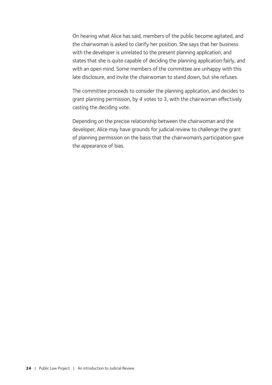On hearing what Alice has said, members of the public become agitated, and the chairwoman is asked to clarify her position. She says that her business with the developer is unrelated to the present planning application, and states that she is quite capable of deciding the planning application fairly, and with an open mind. Some members of the committee are unhappy with this late disclosure, and invite the chairwoman to stand down, but she refuses.

The committee proceeds to consider the planning application, and decides to grant planning permission, by 4 votes to 3, with the chairwoman effectively casting the deciding vote.

Depending on the precise relationship between the chairwoman and the developer, Alice may have grounds for judicial review to challenge the grant of planning permission on the basis that the chairwoman's participation gave the appearance of bias.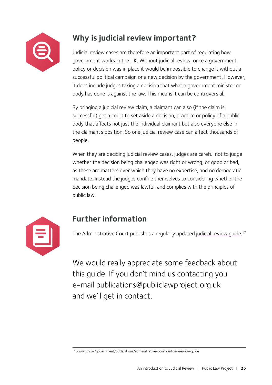

# <span id="page-26-0"></span>**Why is judicial review important?**

Judicial review cases are therefore an important part of regulating how government works in the UK. Without judicial review, once a government policy or decision was in place it would be impossible to change it without a successful political campaign or a new decision by the government. However, it does include judges taking a decision that what a government minister or body has done is against the law. This means it can be controversial.

By bringing a judicial review claim, a claimant can also (if the claim is successful) get a court to set aside a decision, practice or policy of a public body that affects not just the individual claimant but also everyone else in the claimant's position. So one judicial review case can affect thousands of people.

When they are deciding judicial review cases, judges are careful not to judge whether the decision being challenged was right or wrong, or good or bad, as these are matters over which they have no expertise, and no democratic mandate. Instead the judges confine themselves to considering whether the decision being challenged was lawful, and complies with the principles of public law.



# <span id="page-26-1"></span>**Further information**

The Administrative Court publishes a regularly updated [judicial review guide.](http://www.gov.uk/government/publications/administrative-court-judicial-review-guide)<sup>17</sup>

We would really appreciate some feedback about this guide. If you don't mind us contacting you e-mail [publications@publiclawproject.org.uk](mailto:publications%40publiclawproject.org.uk?subject=Intro%20to%20JR%20guide%20feedback)  and we'll get in contact.

<sup>17</sup> www.gov.uk/government/publications/administrative-court-judicial-review-guide